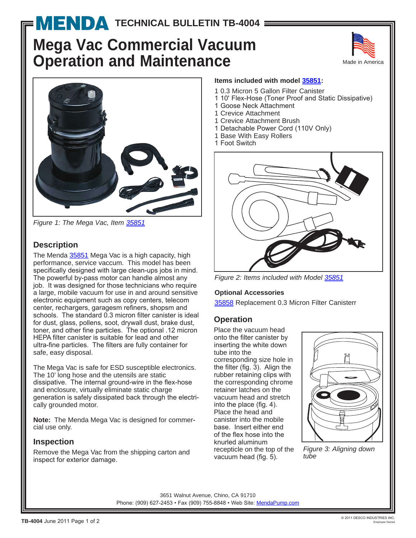# **MENDA [T](http://www.mendapump.com)ECHNICAL BULLETIN TB-4004 =**

# **Mega Vac Commercial Vacuum Operation and Maintenance**





*Figure 1: The Mega Vac, Item 35851*

## **Description**

The Menda 35851 Mega Vac is a high capacity, high performance, service vaccum. This model has been specifically designed with large clean-ups jobs in mind. The powerful by-pass motor can handle almost any job. It was designed for those technicians who require a large, mobile vacuum for use in and around sensitive electronic equipment such as copy centers, telecom center, rechargers, garagesm refiners, shopsm and schools. The standard 0.3 micron filter canister is ideal for dust, glass, pollens, soot, drywall dust, brake dust, toner, and other fine particles. The optional .12 micron HEPA filter canister is suitable for lead and other ultra-fine particles. The filters are fully container for safe, easy disposal.

The Mega Vac is safe for ESD susceptible electronics. The 10' long hose and the utensils are static dissipative. The internal ground-wire in the flex-hose and enclosure, virtually eliminate static charge generation is safely dissipated back through the electrically grounded motor.

**Note:** The Menda Mega Vac is designed for commercial use only.

## **Inspection**

Remove the Mega Vac from the shipping carton and inspect for exterior damage.

#### **Items included with model 35851:**

- 1 0.3 Micron 5 Gallon Filter Canister
- 1 10' Flex-Hose (Toner Proof and Static Dissipative)
- 1 Goose Neck Attachment
- 1 Crevice Attachment
- 1 Crevice Attachment Brush
- 1 Detachable Power Cord (110V Only)
- 1 Base With Easy Rollers
- 1 Foot Switch



*Figure 2: Items included with Model 35851*

#### **Optional Accessories**

35858 Replacement 0.3 Micron Filter Canisterr

## **Operation**

Place the vacuum head onto the filter canister by inserting the white down tube into the

corresponding size hole in the filter (fig. 3). Align the rubber retaining clips with the corresponding chrome retainer latches on the vacuum head and stretch into the place (fig. 4). Place the head and canister into the mobile base. Insert either end of the flex hose into the knurled aluminum recepticle on the top of the vacuum head (fig. 5).



*Figure 3: Aligning down tube*

3651 Walnut Avenue, Chino, CA 91710 Phone: (909) 627-2453 • Fax (909) 755-8848 • Web Site: MendaPump.com